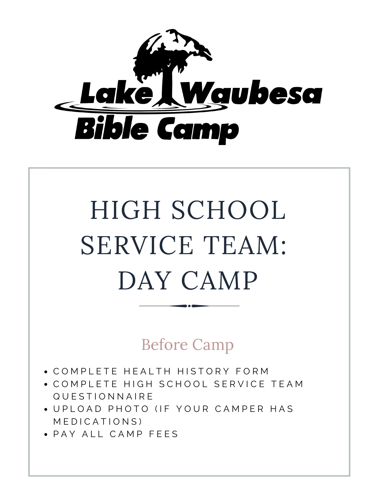

# HIGH SCHOOL SERVICE TEAM: DAY CAMP

Before Camp

- COMPLETE HEALTH HISTORY FORM
- COMPLETE HIGH SCHOOL SERVICE TEAM Q U E S T I O N N A I R E
- UPI OAD PHOTO (IF YOUR CAMPER HAS MEDICATIONS)
- PAY ALL CAMP FEES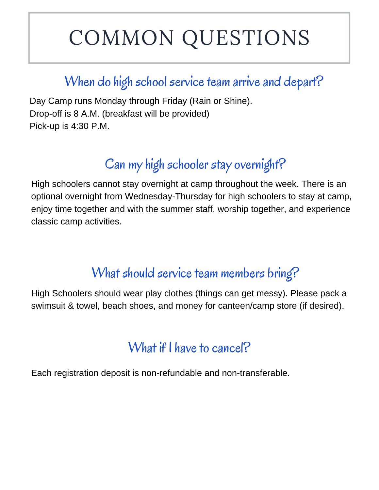# COMMON QUESTIONS

## When do high school service team arrive and depart?

Day Camp runs Monday through Friday (Rain or Shine). Drop-off is 8 A.M. (breakfast will be provided) Pick-up is 4:30 P.M.

# Can my high schooler stay overnight?

High schoolers cannot stay overnight at camp throughout the week. There is an optional overnight from Wednesday-Thursday for high schoolers to stay at camp, enjoy time together and with the summer staff, worship together, and experience classic camp activities.

#### What should service team members bring?

High Schoolers should wear play clothes (things can get messy). Please pack a swimsuit & towel, beach shoes, and money for canteen/camp store (if desired).

#### What if I have to cancel?

Each registration deposit is non-refundable and non-transferable.